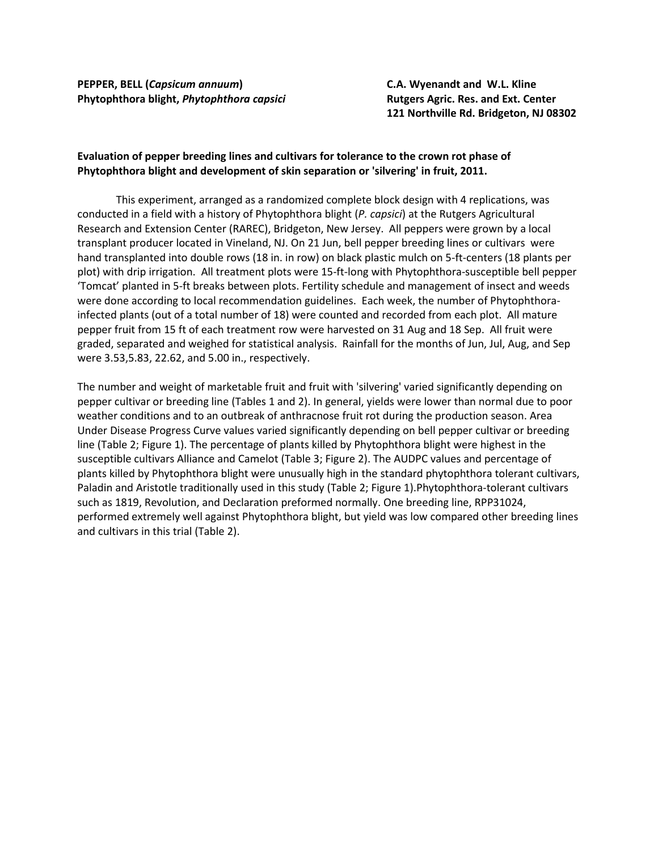**PEPPER, BELL (***Capsicum annuum***) C.A. Wyenandt and W.L. Kline Phytophthora blight,** *Phytophthora capsici* **Rutgers Agric. Res. and Ext. Center**

**121 Northville Rd. Bridgeton, NJ 08302**

## **Evaluation of pepper breeding lines and cultivars for tolerance to the crown rot phase of Phytophthora blight and development of skin separation or 'silvering' in fruit, 2011.**

This experiment, arranged as a randomized complete block design with 4 replications, was conducted in a field with a history of Phytophthora blight (*P. capsici*) at the Rutgers Agricultural Research and Extension Center (RAREC), Bridgeton, New Jersey. All peppers were grown by a local transplant producer located in Vineland, NJ. On 21 Jun, bell pepper breeding lines or cultivars were hand transplanted into double rows (18 in. in row) on black plastic mulch on 5-ft-centers (18 plants per plot) with drip irrigation. All treatment plots were 15-ft-long with Phytophthora-susceptible bell pepper 'Tomcat' planted in 5-ft breaks between plots. Fertility schedule and management of insect and weeds were done according to local recommendation guidelines. Each week, the number of Phytophthorainfected plants (out of a total number of 18) were counted and recorded from each plot. All mature pepper fruit from 15 ft of each treatment row were harvested on 31 Aug and 18 Sep. All fruit were graded, separated and weighed for statistical analysis. Rainfall for the months of Jun, Jul, Aug, and Sep were 3.53,5.83, 22.62, and 5.00 in., respectively.

The number and weight of marketable fruit and fruit with 'silvering' varied significantly depending on pepper cultivar or breeding line (Tables 1 and 2). In general, yields were lower than normal due to poor weather conditions and to an outbreak of anthracnose fruit rot during the production season. Area Under Disease Progress Curve values varied significantly depending on bell pepper cultivar or breeding line (Table 2; Figure 1). The percentage of plants killed by Phytophthora blight were highest in the susceptible cultivars Alliance and Camelot (Table 3; Figure 2). The AUDPC values and percentage of plants killed by Phytophthora blight were unusually high in the standard phytophthora tolerant cultivars, Paladin and Aristotle traditionally used in this study (Table 2; Figure 1).Phytophthora-tolerant cultivars such as 1819, Revolution, and Declaration preformed normally. One breeding line, RPP31024, performed extremely well against Phytophthora blight, but yield was low compared other breeding lines and cultivars in this trial (Table 2).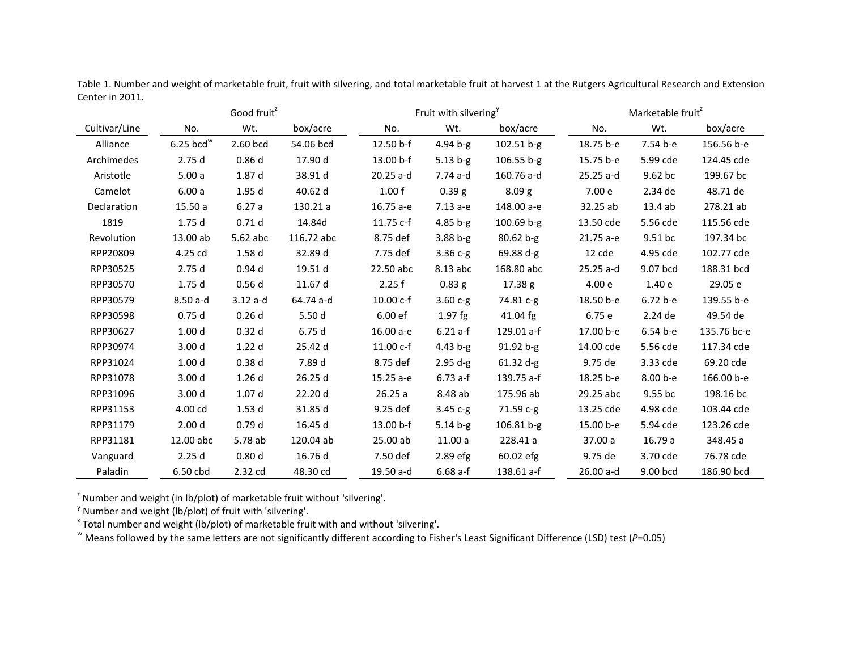Table 1. Number and weight of marketable fruit, fruit with silvering, and total marketable fruit at harvest 1 at the Rutgers Agricultural Research and Extension Center in 2011.

|               |                         | Good fruit <sup>2</sup> |            |             | Fruit with silvering <sup>y</sup> |                   | Marketable fruit |            |             |  |  |
|---------------|-------------------------|-------------------------|------------|-------------|-----------------------------------|-------------------|------------------|------------|-------------|--|--|
| Cultivar/Line | No.                     | Wt.                     | box/acre   | No.         | Wt.                               | box/acre          | No.              | Wt.        | box/acre    |  |  |
| Alliance      | $6.25$ bcd <sup>w</sup> | 2.60 bcd                | 54.06 bcd  | 12.50 b-f   | $4.94 b-g$                        | $102.51 b-g$      | 18.75 b-e        | 7.54 b-e   | 156.56 b-e  |  |  |
| Archimedes    | 2.75d                   | 0.86d                   | 17.90 d    | 13.00 b-f   | $5.13 b-g$                        | $106.55 b-g$      | 15.75 b-e        | 5.99 cde   | 124.45 cde  |  |  |
| Aristotle     | 5.00a                   | 1.87 d                  | 38.91 d    | 20.25 a-d   | 7.74 a-d                          | 160.76 a-d        | 25.25 a-d        | 9.62 bc    | 199.67 bc   |  |  |
| Camelot       | 6.00a                   | 1.95d                   | 40.62 d    | 1.00 f      | 0.39 <sub>g</sub>                 | 8.09 <sub>g</sub> | 7.00 e           | 2.34 de    | 48.71 de    |  |  |
| Declaration   | 15.50a                  | 6.27a                   | 130.21 a   | 16.75 a-e   | $7.13a-e$                         | 148.00 a-e        | 32.25 ab         | 13.4 ab    | 278.21 ab   |  |  |
| 1819          | 1.75d                   | 0.71d                   | 14.84d     | $11.75c-f$  | $4.85 b-g$                        | $100.69 b-g$      | 13.50 cde        | 5.56 cde   | 115.56 cde  |  |  |
| Revolution    | 13.00 ab                | 5.62 abc                | 116.72 abc | 8.75 def    | $3.88 b-g$                        | $80.62 b-g$       | 21.75 a-e        | 9.51 bc    | 197.34 bc   |  |  |
| RPP20809      | 4.25 cd                 | 1.58d                   | 32.89 d    | 7.75 def    | $3.36c-g$                         | 69.88 d-g         | 12 cde           | 4.95 cde   | 102.77 cde  |  |  |
| RPP30525      | 2.75d                   | 0.94 <sub>d</sub>       | 19.51 d    | 22.50 abc   | 8.13 abc                          | 168.80 abc        | $25.25$ a-d      | 9.07 bcd   | 188.31 bcd  |  |  |
| RPP30570      | 1.75d                   | 0.56d                   | 11.67 d    | 2.25f       | 0.83 g                            | 17.38 g           | 4.00 e           | 1.40 e     | 29.05 e     |  |  |
| RPP30579      | $8.50a-d$               | $3.12a-d$               | 64.74 a-d  | $10.00 c-f$ | $3.60c-g$                         | 74.81 c-g         | 18.50 b-e        | 6.72 b-e   | 139.55 b-e  |  |  |
| RPP30598      | 0.75d                   | 0.26d                   | 5.50 d     | 6.00 ef     | $1.97$ fg                         | 41.04 fg          | 6.75 e           | 2.24 de    | 49.54 de    |  |  |
| RPP30627      | 1.00 <sub>d</sub>       | 0.32d                   | 6.75d      | 16.00 a-e   | $6.21 a-f$                        | 129.01 a-f        | 17.00 b-e        | $6.54 b-e$ | 135.76 bc-e |  |  |
| RPP30974      | 3.00 <sub>d</sub>       | 1.22d                   | 25.42 d    | 11.00 c-f   | 4.43 b-g                          | 91.92 b-g         | 14.00 cde        | 5.56 cde   | 117.34 cde  |  |  |
| RPP31024      | 1.00 <sub>d</sub>       | 0.38d                   | 7.89 d     | 8.75 def    | $2.95 d-g$                        | $61.32 d-g$       | 9.75 de          | 3.33 cde   | 69.20 cde   |  |  |
| RPP31078      | 3.00 <sub>d</sub>       | 1.26d                   | 26.25d     | 15.25 a-e   | $6.73$ a-f                        | 139.75 a-f        | 18.25 b-e        | 8.00 b-e   | 166.00 b-e  |  |  |
| RPP31096      | 3.00 <sub>d</sub>       | 1.07 <sub>d</sub>       | 22.20 d    | 26.25a      | 8.48 ab                           | 175.96 ab         | 29.25 abc        | 9.55 bc    | 198.16 bc   |  |  |
| RPP31153      | 4.00 cd                 | 1.53d                   | 31.85 d    | 9.25 def    | 3.45 c-g                          | 71.59 с-д         | 13.25 cde        | 4.98 cde   | 103.44 cde  |  |  |
| RPP31179      | 2.00 <sub>d</sub>       | 0.79d                   | 16.45 d    | 13.00 b-f   | $5.14 b-g$                        | 106.81 b-g        | 15.00 b-e        | 5.94 cde   | 123.26 cde  |  |  |
| RPP31181      | 12.00 abc               | 5.78 ab                 | 120.04 ab  | 25.00 ab    | 11.00a                            | 228.41 a          | 37.00 a          | 16.79 a    | 348.45 a    |  |  |
| Vanguard      | 2.25d                   | 0.80 <sub>d</sub>       | 16.76 d    | 7.50 def    | 2.89 efg                          | 60.02 efg         | 9.75 de          | 3.70 cde   | 76.78 cde   |  |  |
| Paladin       | 6.50 cbd                | 2.32 cd                 | 48.30 cd   | 19.50 a-d   | $6.68a-f$                         | 138.61 a-f        | 26.00 a-d        | 9.00 bcd   | 186.90 bcd  |  |  |

 $z$  Number and weight (in lb/plot) of marketable fruit without 'silvering'.

 $y$  Number and weight (lb/plot) of fruit with 'silvering'.

"Means followed by the same letters are not significantly different according to Fisher's Least Significant Difference (LSD) test (P=0.05)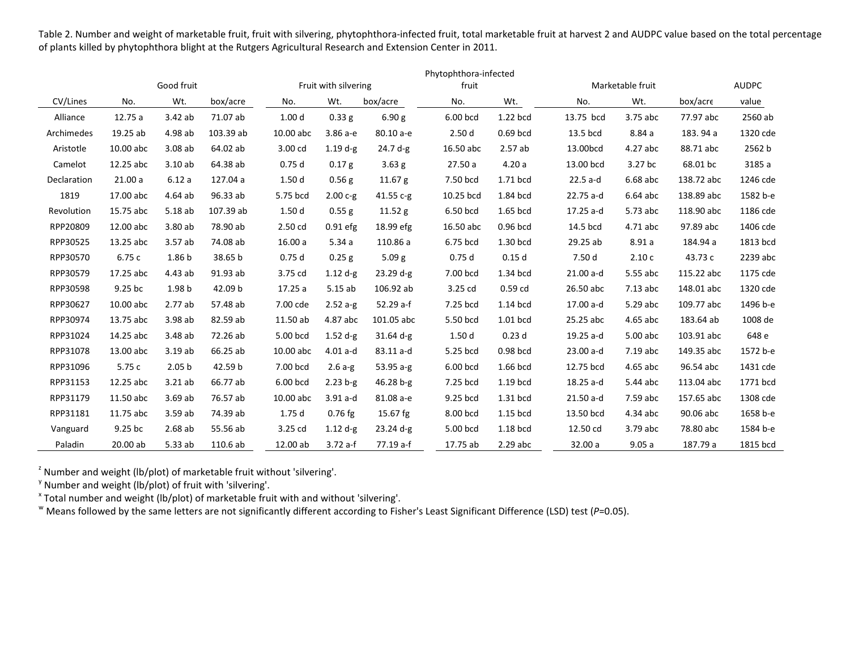Table 2. Number and weight of marketable fruit, fruit with silvering, phytophthora-infected fruit, total marketable fruit at harvest 2 and AUDPC value based on the total percentage of plants killed by phytophthora blight at the Rutgers Agricultural Research and Extension Center in 2011.

|             |            |                   |                      |                   |                   |                   |           | Phytophthora-infected |                  |            |              |          |  |
|-------------|------------|-------------------|----------------------|-------------------|-------------------|-------------------|-----------|-----------------------|------------------|------------|--------------|----------|--|
|             | Good fruit |                   | Fruit with silvering |                   |                   | fruit             |           |                       | Marketable fruit |            | <b>AUDPC</b> |          |  |
| CV/Lines    | No.        | Wt.               | box/acre             | No.               | Wt.               | box/acre          | No.       | Wt.                   | No.              | Wt.        | box/acre     | value    |  |
| Alliance    | 12.75 a    | 3.42ab            | 71.07 ab             | 1.00 <sub>d</sub> | 0.33 g            | 6.90 g            | 6.00 bcd  | 1.22 bcd              | 13.75 bcd        | 3.75 abc   | 77.97 abc    | 2560 ab  |  |
| Archimedes  | 19.25 ab   | 4.98 ab           | 103.39 ab            | 10.00 abc         | 3.86 а-е          | 80.10 a-e         | 2.50d     | 0.69 bcd              | 13.5 bcd         | 8.84a      | 183.94 a     | 1320 cde |  |
| Aristotle   | 10.00 abc  | 3.08ab            | 64.02 ab             | 3.00 cd           | $1.19 d-g$        | $24.7 d-g$        | 16.50 abc | 2.57ab                | 13.00bcd         | 4.27 abc   | 88.71 abc    | 2562 b   |  |
| Camelot     | 12.25 abc  | 3.10ab            | 64.38 ab             | 0.75d             | 0.17 <sub>g</sub> | 3.63 <sub>g</sub> | 27.50a    | 4.20a                 | 13.00 bcd        | 3.27 bc    | 68.01 bc     | 3185 a   |  |
| Declaration | 21.00a     | 6.12a             | 127.04 a             | 1.50d             | $0.56$ g          | 11.67 g           | 7.50 bcd  | 1.71 bcd              | $22.5a-d$        | $6.68$ abc | 138.72 abc   | 1246 cde |  |
| 1819        | 17.00 abc  | 4.64ab            | 96.33 ab             | 5.75 bcd          | $2.00 c-g$        | 41.55 $c-g$       | 10.25 bcd | 1.84 bcd              | 22.75 a-d        | 6.64 abc   | 138.89 abc   | 1582 b-e |  |
| Revolution  | 15.75 abc  | 5.18ab            | 107.39 ab            | 1.50d             | 0.55 g            | 11.52 g           | 6.50 bcd  | 1.65 bcd              | 17.25 a-d        | 5.73 abc   | 118.90 abc   | 1186 cde |  |
| RPP20809    | 12.00 abc  | 3.80ab            | 78.90 ab             | 2.50 cd           | $0.91$ efg        | 18.99 efg         | 16.50 abc | 0.96 bcd              | 14.5 bcd         | 4.71 abc   | 97.89 abc    | 1406 cde |  |
| RPP30525    | 13.25 abc  | 3.57ab            | 74.08 ab             | 16.00a            | 5.34a             | 110.86 a          | 6.75 bcd  | 1.30 bcd              | 29.25 ab         | 8.91a      | 184.94 a     | 1813 bcd |  |
| RPP30570    | 6.75c      | 1.86 <sub>b</sub> | 38.65 b              | 0.75d             | $0.25$ g          | 5.09 <sub>g</sub> | 0.75d     | 0.15d                 | 7.50 d           | 2.10c      | 43.73 c      | 2239 abc |  |
| RPP30579    | 17.25 abc  | 4.43ab            | 91.93 ab             | 3.75 cd           | $1.12 d-g$        | $23.29 d-g$       | 7.00 bcd  | 1.34 bcd              | $21.00 a-d$      | 5.55 abc   | 115.22 abc   | 1175 cde |  |
| RPP30598    | $9.25$ bc  | 1.98 b            | 42.09 b              | 17.25a            | 5.15ab            | 106.92 ab         | 3.25 cd   | 0.59 cd               | 26.50 abc        | 7.13 abc   | 148.01 abc   | 1320 cde |  |
| RPP30627    | 10.00 abc  | 2.77ab            | 57.48 ab             | 7.00 cde          | $2.52a-g$         | 52.29 a-f         | 7.25 bcd  | 1.14 bcd              | 17.00 a-d        | 5.29 abc   | 109.77 abc   | 1496 b-e |  |
| RPP30974    | 13.75 abc  | 3.98 ab           | 82.59 ab             | 11.50 ab          | 4.87 abc          | 101.05 abc        | 5.50 bcd  | 1.01 bcd              | 25.25 abc        | 4.65 abc   | 183.64 ab    | 1008 de  |  |
| RPP31024    | 14.25 abc  | 3.48 ab           | 72.26 ab             | 5.00 bcd          | $1.52$ d-g        | $31.64$ d-g       | 1.50d     | 0.23d                 | 19.25 a-d        | 5.00 abc   | 103.91 abc   | 648 e    |  |
| RPP31078    | 13.00 abc  | 3.19ab            | 66.25 ab             | 10.00 abc         | $4.01 a-d$        | 83.11 a-d         | 5.25 bcd  | 0.98 bcd              | $23.00 a-d$      | 7.19 abc   | 149.35 abc   | 1572 b-e |  |
| RPP31096    | 5.75c      | 2.05 <sub>b</sub> | 42.59 b              | 7.00 bcd          | $2.6a-g$          | $53.95a-g$        | 6.00 bcd  | 1.66 bcd              | 12.75 bcd        | 4.65 abc   | 96.54 abc    | 1431 cde |  |
| RPP31153    | 12.25 abc  | 3.21ab            | 66.77 ab             | 6.00 bcd          | $2.23 b-g$        | $46.28 b-g$       | 7.25 bcd  | 1.19 bcd              | 18.25 a-d        | 5.44 abc   | 113.04 abc   | 1771 bcd |  |
| RPP31179    | 11.50 abc  | 3.69ab            | 76.57 ab             | 10.00 abc         | $3.91a-d$         | 81.08 a-e         | 9.25 bcd  | 1.31 bcd              | $21.50$ a-d      | 7.59 abc   | 157.65 abc   | 1308 cde |  |
| RPP31181    | 11.75 abc  | 3.59ab            | 74.39 ab             | 1.75d             | $0.76$ fg         | $15.67$ fg        | 8.00 bcd  | 1.15 bcd              | 13.50 bcd        | 4.34 abc   | 90.06 abc    | 1658 b-e |  |
| Vanguard    | 9.25 bc    | 2.68ab            | 55.56 ab             | $3.25$ cd         | $1.12 d-g$        | $23.24$ d-g       | 5.00 bcd  | 1.18 bcd              | 12.50 cd         | 3.79 abc   | 78.80 abc    | 1584 b-e |  |
| Paladin     | 20.00 ab   | 5.33ab            | 110.6 ab             | 12.00 ab          | $3.72a-f$         | 77.19 a-f         | 17.75 ab  | $2.29$ abc            | 32.00 a          | 9.05a      | 187.79 a     | 1815 bcd |  |

<sup>2</sup> Number and weight (lb/plot) of marketable fruit without 'silvering'.

 $\%$  Number and weight (lb/plot) of fruit with 'silvering'.

 $^{\texttt{x}}$  Total number and weight (lb/plot) of marketable fruit with and without 'silvering'.

<sup>w</sup> Means followed by the same letters are not significantly different according to Fisher's Least Significant Difference (LSD) test (*P*=0.05).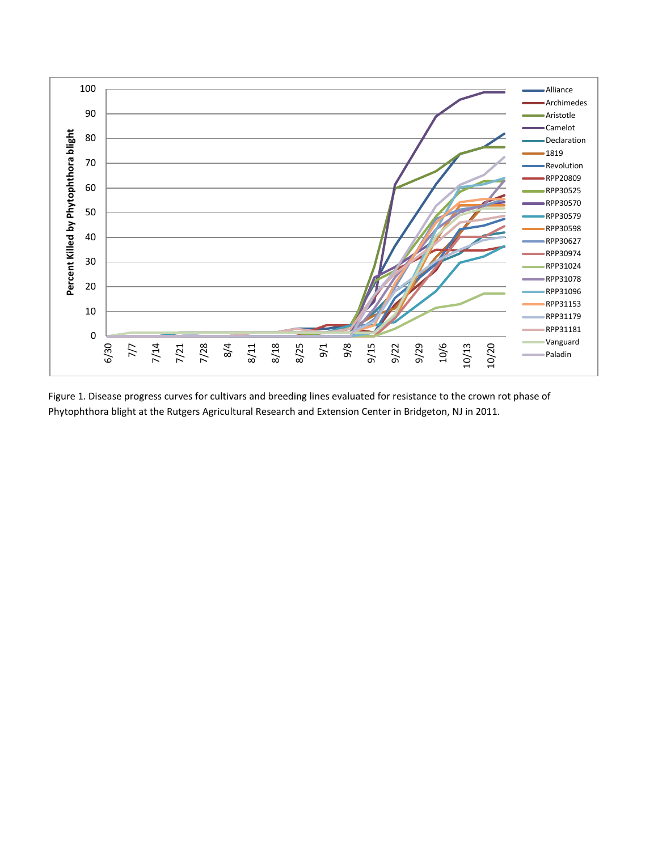

Figure 1. Disease progress curves for cultivars and breeding lines evaluated for resistance to the crown rot phase of Phytophthora blight at the Rutgers Agricultural Research and Extension Center in Bridgeton, NJ in 2011.